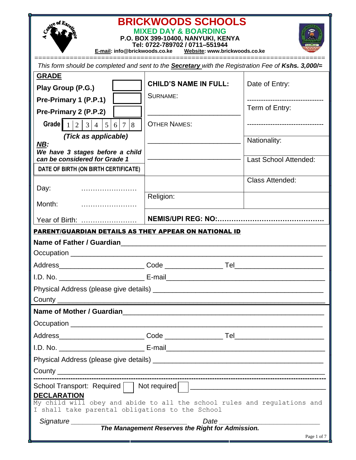| Ne of Except |  |
|--------------|--|
|              |  |

### **BRICKWOODS SCHOOLS MIXED DAY & BOARDING P.O. BOX 399-10400, NANYUKI, KENYA**

*This form should be completed and sent to the Secretary with the Registration Fee of Kshs. 3,000/=*



**Tel: 0722-789702 / 0711–551944**

**E-mail: info@brickwoods.co.ke Website: www.brickwoods.co.ke**

**GRADE Play Group (P.G.) Pre-Primary 1 (P.P.1) Pre-Primary 2 (P.P.2) Grade** | 1 | 2 | 3 | 4 | 5 | 6 | 7 | 8  *(Tick as applicable) NB: We have 3 stages before a child can be considered for Grade 1* **CHILD'S NAME IN FULL:** SURNAME: \_\_\_\_\_\_\_\_\_\_\_\_\_\_\_\_\_\_\_\_\_\_\_\_ OTHER NAMES: \_\_\_\_\_\_\_\_\_\_\_\_\_\_\_\_\_\_\_\_\_\_\_\_ \_\_\_\_\_\_\_\_\_\_\_\_\_\_\_\_\_\_\_\_\_\_\_\_ Date of Entry: --------------------------------- Term of Entry: --------------------------------- Nationality: Last School Attended: Day: Month: Year of Birth: …………………… **NEMIS/UPI REG: NO:……………………………………….** …………………… …………………… Class Attended: Religion: PARENT/GUARDIAN DETAILS AS THEY APPEAR ON NATIONAL ID **Name of Father / Guardian** Occupation \_\_\_\_\_\_\_\_\_\_\_\_\_\_\_\_\_\_\_\_\_\_\_\_\_\_\_\_\_\_\_\_\_\_\_\_\_\_\_\_\_\_\_\_\_\_\_\_\_\_\_\_\_\_\_\_\_\_\_\_\_\_\_\_\_ Address\_\_\_\_\_\_\_\_\_\_\_\_\_\_\_\_\_\_\_\_\_\_ Code \_\_\_\_\_\_\_\_\_\_\_\_\_\_\_ Tel\_\_\_\_\_\_\_\_\_\_\_\_\_\_\_\_\_\_\_\_\_\_\_ I.D. No. \_\_\_\_\_\_\_\_\_\_\_\_\_\_\_\_\_\_\_\_\_\_ E-mail\_\_\_\_\_\_\_\_\_\_\_\_\_\_\_\_\_\_\_\_\_\_\_\_\_\_\_\_\_\_\_\_\_\_\_\_\_\_\_\_\_ Physical Address (please give details) **Example 20** and the proposition of the proposition of the proposition of the proposition of the proposition of the proposition of the proposition of the proposition of the propositio County **Name of Mother / Guardian**\_\_\_\_\_\_\_\_\_\_\_\_\_\_\_\_\_\_\_\_\_\_\_\_\_\_\_\_\_\_\_\_\_\_\_\_\_\_\_\_\_\_\_\_\_\_\_\_\_\_\_\_ Occupation \_\_\_\_\_\_\_\_\_\_\_\_\_\_\_\_\_\_\_\_\_\_\_\_\_\_\_\_\_\_\_\_\_\_\_\_\_\_\_\_\_\_\_\_\_\_\_\_\_\_\_\_\_\_\_\_\_\_\_\_\_\_\_\_\_ Address\_\_\_\_\_\_\_\_\_\_\_\_\_\_\_\_\_\_\_\_\_\_ Code \_\_\_\_\_\_\_\_\_\_\_\_\_\_\_ Tel\_\_\_\_\_\_\_\_\_\_\_\_\_\_\_\_\_\_\_\_\_\_\_ I.D. No. <u>E-mail</u> Physical Address (please give details) **Example 2018** County \_\_\_\_\_\_\_\_\_\_\_\_\_\_\_\_\_\_\_\_\_\_\_\_\_\_\_\_\_\_\_\_\_\_\_\_\_\_\_\_\_\_\_\_\_\_\_\_\_\_\_\_\_\_\_\_\_\_\_\_\_\_\_\_\_\_\_\_\_ **------------------------------------------------------------------------------------------------------------------------------** School Transport: Required | | Not required | **DECLARATION** My child will obey and abide to all the school rules and regulations and I shall take parental obligations to the School *Signature \_\_\_\_\_\_\_\_\_\_\_\_\_\_\_\_\_\_\_\_\_\_\_\_\_\_\_\_\_\_ Date \_\_\_\_\_\_\_\_\_\_\_\_\_\_\_\_\_\_\_\_\_\_\_\_\_\_ The Management Reserves the Right for Admission.* **DATE OF BIRTH (ON BIRTH CERTIFICATE)**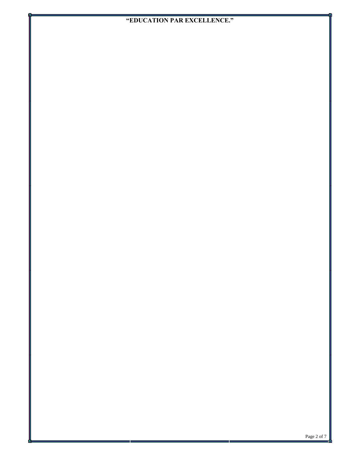### **"EDUCATION PAR EXCELLENCE."**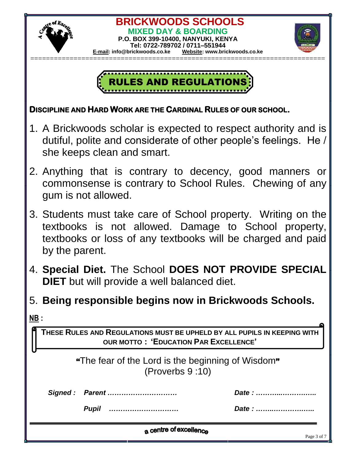







===========================================================================

**DISCIPLINE AND HARD WORK ARE THE CARDINAL RULES OF OUR SCHOOL.** 

- 1. A Brickwoods scholar is expected to respect authority and is dutiful, polite and considerate of other people's feelings. He / she keeps clean and smart.
- 2. Anything that is contrary to decency, good manners or commonsense is contrary to School Rules. Chewing of any gum is not allowed.
- 3. Students must take care of School property. Writing on the textbooks is not allowed. Damage to School property, textbooks or loss of any textbooks will be charged and paid by the parent.
- 4. **Special Diet.** The School **DOES NOT PROVIDE SPECIAL DIET** but will provide a well balanced diet.
- 5. **Being responsible begins now in Brickwoods Schools.**
- **NB :**

| THESE RULES AND REGULATIONS MUST BE UPHELD BY ALL PUPILS IN KEEPING WITH<br><b>OUR MOTTO: 'EDUCATION PAR EXCELLENCE'</b> |       |  |  |  |
|--------------------------------------------------------------------------------------------------------------------------|-------|--|--|--|
| "The fear of the Lord is the beginning of Wisdom"<br>(Proverbs $9:10$ )                                                  |       |  |  |  |
| Signed: Parent                                                                                                           | Date: |  |  |  |
| <b>Pupil</b><br>                                                                                                         | Date: |  |  |  |
| a centre of excellence<br>Page 3 of 7                                                                                    |       |  |  |  |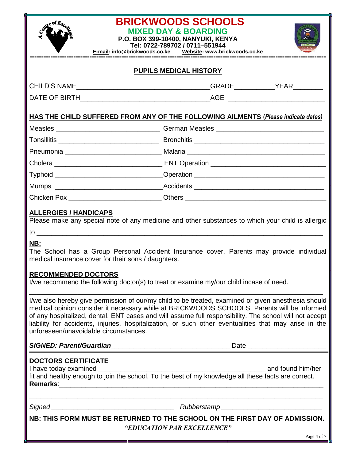

# **BRICKWOODS SCHOOLS MIXED DAY & BOARDING**

**P.O. BOX 399-10400, NANYUKI, KENYA**

**Tel: 0722-789702 / 0711–551944**

**E-mail: info@brickwoods.co.ke** =================================================================================================================================



| PUPILS MEDICAL HISTORY                                                            |                                                                                  |  |  |  |
|-----------------------------------------------------------------------------------|----------------------------------------------------------------------------------|--|--|--|
|                                                                                   |                                                                                  |  |  |  |
|                                                                                   |                                                                                  |  |  |  |
| HAS THE CHILD SUFFERED FROM ANY OF THE FOLLOWING AILMENTS (Please indicate dates) |                                                                                  |  |  |  |
|                                                                                   |                                                                                  |  |  |  |
|                                                                                   |                                                                                  |  |  |  |
|                                                                                   |                                                                                  |  |  |  |
|                                                                                   |                                                                                  |  |  |  |
|                                                                                   | Typhoid ______________________________Operation ________________________________ |  |  |  |

| $\mathbf{r}$       | V         |
|--------------------|-----------|
| <b>Mumps</b>       | Accidents |
| <b>Chicken Pox</b> | Others    |

### **ALLERGIES / HANDICAPS**

Please make any special note of any medicine and other substances to which your child is allergic to \_\_\_\_\_\_\_\_\_\_\_\_\_\_\_\_\_\_\_\_\_\_\_\_\_\_\_\_\_\_\_\_\_\_\_\_\_\_\_\_\_\_\_\_\_\_\_\_\_\_\_\_\_\_\_\_\_\_\_\_\_\_\_\_\_\_\_\_\_\_\_\_\_\_\_\_\_

# **NB:**

The School has a Group Personal Accident Insurance cover. Parents may provide individual medical insurance cover for their sons / daughters.

#### **RECOMMENDED DOCTORS**

I/we recommend the following doctor(s) to treat or examine my/our child incase of need.

I/we also hereby give permission of our/my child to be treated, examined or given anesthesia should medical opinion consider it necessary while at BRICKWOODS SCHOOLS. Parents will be informed of any hospitalized, dental, ENT cases and will assume full responsibility. The school will not accept liability for accidents, injuries, hospitalization, or such other eventualities that may arise in the unforeseen/unavoidable circumstances.

\_\_\_\_\_\_\_\_\_\_\_\_\_\_\_\_\_\_\_\_\_\_\_\_\_\_\_\_\_\_\_\_\_\_\_\_\_\_\_\_\_\_\_\_\_\_\_\_\_\_\_\_\_\_\_\_\_\_\_\_\_\_\_\_\_\_\_\_\_\_\_\_\_\_\_\_\_\_\_

#### **SIGNED: Parent/Guardian**

#### **DOCTORS CERTIFICATE**

I have today examined \_\_\_\_\_\_\_\_\_\_\_\_\_\_\_\_\_\_\_\_\_\_\_\_\_\_\_\_\_\_\_\_\_\_\_\_\_\_\_\_\_\_\_\_\_ and found him/her

fit and healthy enough to join the school. To the best of my knowledge all these facts are correct. **Remarks**:\_\_\_\_\_\_\_\_\_\_\_\_\_\_\_\_\_\_\_\_\_\_\_\_\_\_\_\_\_\_\_\_\_\_\_\_\_\_\_\_\_\_\_\_\_\_\_\_\_\_\_\_\_\_\_\_\_\_\_\_\_\_\_\_\_\_\_\_\_\_\_

\_\_\_\_\_\_\_\_\_\_\_\_\_\_\_\_\_\_\_\_\_\_\_\_\_\_\_\_\_\_\_\_\_\_\_\_\_\_\_\_\_\_\_\_\_\_\_\_\_\_\_\_\_\_\_\_\_\_\_\_\_\_\_\_\_\_\_\_\_\_\_\_\_\_\_\_\_\_\_

**Signed** *Signed CONDEXTRIMING <b><i>Rubberstamp Rubberstamp CONDEXTRIMING <b><i>RUBBERSTAMP CONDEXTRIMING <b>CONDEXTRIMING CONDEXTRIMING <b>CONDEXTRIMING CONDEXTRIMING* 

**NB: THIS FORM MUST BE RETURNED TO THE SCHOOL ON THE FIRST DAY OF ADMISSION.** *"EDUCATION PAR EXCELLENCE"*

Page 4 of 7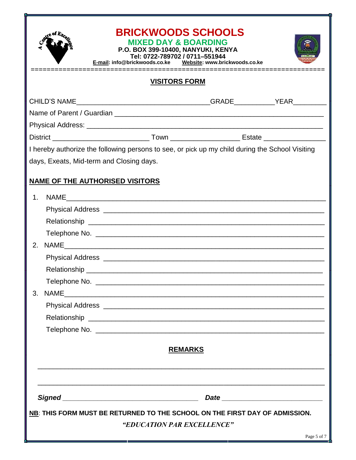

# **BRICKWOODS SCHOOLS**

**MIXED DAY & BOARDING P.O. BOX 399-10400, NANYUKI, KENYA**

**Tel: 0722-789702 / 0711–551944**

**E-mail: info@brickwoods.co.ke Website: www.brickwoods.co.ke**

|    |                                                                                                 | <b>VISITORS FORM</b>       |  |             |
|----|-------------------------------------------------------------------------------------------------|----------------------------|--|-------------|
|    |                                                                                                 |                            |  |             |
|    |                                                                                                 |                            |  |             |
|    |                                                                                                 |                            |  |             |
|    |                                                                                                 |                            |  |             |
|    | I hereby authorize the following persons to see, or pick up my child during the School Visiting |                            |  |             |
|    | days, Exeats, Mid-term and Closing days.                                                        |                            |  |             |
|    | <b>NAME OF THE AUTHORISED VISITORS</b>                                                          |                            |  |             |
| 1. |                                                                                                 |                            |  |             |
|    |                                                                                                 |                            |  |             |
|    |                                                                                                 |                            |  |             |
|    |                                                                                                 |                            |  |             |
| 2. |                                                                                                 |                            |  |             |
|    |                                                                                                 |                            |  |             |
|    |                                                                                                 |                            |  |             |
|    |                                                                                                 |                            |  |             |
| 3. |                                                                                                 |                            |  |             |
|    |                                                                                                 |                            |  |             |
|    |                                                                                                 |                            |  |             |
|    | Telephone No. _____________________________                                                     |                            |  |             |
|    |                                                                                                 | <b>REMARKS</b>             |  |             |
|    |                                                                                                 |                            |  |             |
|    |                                                                                                 |                            |  |             |
|    | NB: THIS FORM MUST BE RETURNED TO THE SCHOOL ON THE FIRST DAY OF ADMISSION.                     |                            |  |             |
|    |                                                                                                 | "EDUCATION PAR EXCELLENCE" |  | Page 5 of 7 |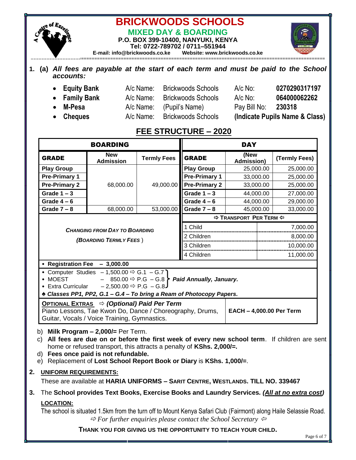

# **BRICKWOODS SCHOOLS MIXED DAY & BOARDING P.O. BOX 399-10400, NANYUKI, KENYA**

**Tel: 0722-789702 / 0711–551944**

**E-mail: info@brickwoods.co.ke Website: www.brickwoods.co.ke**

#### **1. (a)** *All fees are payable at the start of each term and must be paid to the School accounts:*

- - - -
		-
- 
- -
- **Equity Bank** A/c Name: Brickwoods Schools A/c No: **0270290317197 Family Bank** A/c Name: Brickwoods Schools A/c No: **064000062262 M-Pesa** A/c Name: (Pupil's Name) Pay Bill No: **230318 Cheques** A/c Name: Brickwoods Schools **(Indicate Pupils Name & Class)**

# **FEE STRUCTURE – 2020**

| <b>BOARDING</b>                                                                                                                                                                                                                                                                       |                                | <b>DAY</b>         |                      |                                                                 |           |               |
|---------------------------------------------------------------------------------------------------------------------------------------------------------------------------------------------------------------------------------------------------------------------------------------|--------------------------------|--------------------|----------------------|-----------------------------------------------------------------|-----------|---------------|
| <b>GRADE</b>                                                                                                                                                                                                                                                                          | <b>New</b><br><b>Admission</b> | <b>Termly Fees</b> | <b>GRADE</b>         | (New<br><b>Admission)</b>                                       |           | (Termly Fees) |
| <b>Play Group</b>                                                                                                                                                                                                                                                                     |                                |                    | <b>Play Group</b>    | 25,000.00                                                       |           | 25,000.00     |
| <b>Pre-Primary 1</b>                                                                                                                                                                                                                                                                  |                                |                    | <b>Pre-Primary 1</b> | 33,000.00                                                       |           | 25,000.00     |
| <b>Pre-Primary 2</b>                                                                                                                                                                                                                                                                  | 68,000.00                      | 49,000.00          | <b>Pre-Primary 2</b> | 33,000.00                                                       |           | 25,000.00     |
| Grade $1 - 3$                                                                                                                                                                                                                                                                         |                                |                    | Grade $1 - 3$        | 44,000.00                                                       |           | 27,000.00     |
| Grade $4-6$                                                                                                                                                                                                                                                                           |                                |                    | Grade $4-6$          | 44,000.00                                                       |           | 29,000.00     |
| Grade $7 - 8$                                                                                                                                                                                                                                                                         | 68,000.00                      | 53,000.00          | Grade $7 - 8$        | 45,000.00                                                       |           | 33,000.00     |
|                                                                                                                                                                                                                                                                                       |                                |                    |                      | <b><math>\Rightarrow</math> TRANSPORT PER TERM</b> $\Leftarrow$ |           |               |
| <b>CHANGING FROM DAY TO BOARDING</b><br>(BOARDING TERMLY FEES)                                                                                                                                                                                                                        |                                |                    | 1 Child              |                                                                 | 7,000.00  |               |
|                                                                                                                                                                                                                                                                                       |                                |                    | 2 Children           |                                                                 |           | 8,000.00      |
|                                                                                                                                                                                                                                                                                       |                                |                    | 3 Children           |                                                                 | 10,000.00 |               |
|                                                                                                                                                                                                                                                                                       |                                |                    | 4 Children           |                                                                 |           | 11,000.00     |
| • Registration Fee - 3,000.00                                                                                                                                                                                                                                                         |                                |                    |                      |                                                                 |           |               |
| Computer Studies $-1,500.00 \Rightarrow G.1 - G.7$<br><b>MOEST</b><br>$-$ 850.00 $\Rightarrow$ P.G $-$ G.8 $\}$ Paid Annually, January.<br>$\bullet$<br>Extra Curricular $-2,500.00 \Rightarrow P.G - G.8$<br>٠<br>Classes PP1, PP2, G.1 - G.4 - To bring a Ream of Photocopy Papers. |                                |                    |                      |                                                                 |           |               |
| <b>OPTIONAL EXTRAS</b> $\Rightarrow$ (Optional) Paid Per Term<br>Piano Lessons, Tae Kwon Do, Dance / Choreography, Drums,<br>EACH - 4,000.00 Per Term<br>Guitar, Vocals / Voice Training, Gymnastics.                                                                                 |                                |                    |                      |                                                                 |           |               |

- b) **Milk Program – 2,000/=** Per Term.
- c) **All fees are due on or before the first week of every new school term**. If children are sent home or refused transport, this attracts a penalty of **KShs. 2,000/=.**
- d) **Fees once paid is not refundable.**
- e) Replacement of **Lost School Report Book or Diary** is **KShs. 1,000/=**.
- **2. UNIFORM REQUIREMENTS:**

These are available at **HARIA UNIFORMS – SARIT CENTRE, WESTLANDS. TILL NO. 339467**

**3.** The **School provides Text Books, Exercise Books and Laundry Services***. (All at no extra cost)* **LOCATION:**

## The school is situated 1.5km from the turn off to Mount Kenya Safari Club (Fairmont) along Haile Selassie Road. *For further enquiries please contact the School Secretary*

**THANK YOU FOR GIVING US THE OPPORTUNITY TO TEACH YOUR CHILD.**

Page 6 of 7